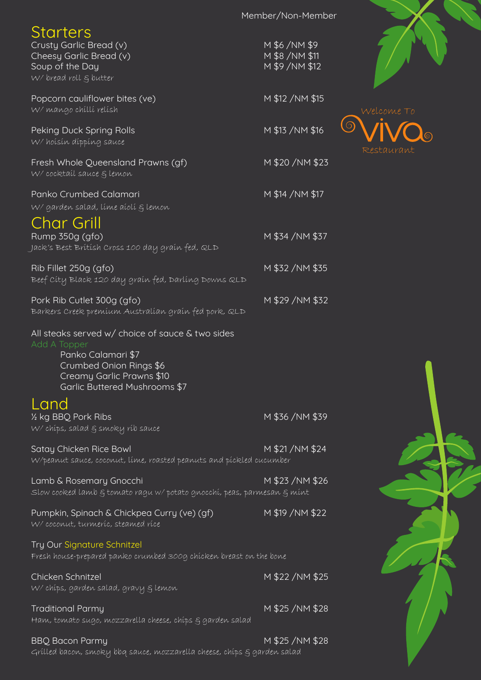|                                                                                                                                                                                 | Member/Non-Member                                                                        |
|---------------------------------------------------------------------------------------------------------------------------------------------------------------------------------|------------------------------------------------------------------------------------------|
| <b>Starters</b><br>Crusty Garlic Bread (v)<br>Cheesy Garlic Bread (v)<br>Soup of the Day<br>W/ bread roll $\xi$ butter                                                          | M \$6/NM \$9<br>M \$8 / NM \$11<br>M \$9 / NM \$12                                       |
| Popcorn cauliflower bites (ve)<br>W/ mango chilli relish                                                                                                                        | M \$12 / NM \$15                                                                         |
| Peking Duck Spring Rolls<br>W/hoisin dipping sauce                                                                                                                              | M \$13 / NM \$16                                                                         |
| Fresh Whole Queensland Prawns (gf)<br>W/ cocktail sauce & lemon                                                                                                                 | M \$20 /NM \$23                                                                          |
| Panko Crumbed Calamari<br>W/ garden salad, líme aíolí & lemon<br>Char Grill                                                                                                     | M \$14 / NM \$17                                                                         |
| Rump 350g (gfo)<br>Jack's Best Brítísh Cross 100 day graín fed, QLD                                                                                                             | M \$34 / NM \$37                                                                         |
| Rib Fillet 250g (gfo)<br>Beef City Black 120 day grain fed, Darling Downs QLD                                                                                                   | M \$32/NM \$35                                                                           |
| Pork Rib Cutlet 300g (gfo)<br>Barkers Creek premíum Australían graín fed pork, QLD                                                                                              | M \$29 / NM \$32                                                                         |
| All steaks served w/ choice of sauce & two sides<br>Add A Topper<br>Panko Calamari \$7<br>Crumbed Onion Rings \$6<br>Creamy Garlic Prawns \$10<br>Garlic Buttered Mushrooms \$7 |                                                                                          |
| Land<br>1/2 kg BBQ Pork Ribs<br>W/ chips, salad g smoky rib sauce                                                                                                               | M \$36/NM \$39                                                                           |
| Satay Chicken Rice Bowl<br>W/peanut sauce, coconut, lime, roasted peanuts and pickled cucumber                                                                                  | M \$21/NM \$24                                                                           |
| Lamb & Rosemary Gnocchi                                                                                                                                                         | M \$23/NM \$26<br>Slow cooked lamb & tomato ragu w/potato gnocchí, peas, parmesan & mínt |
| Pumpkin, Spinach & Chickpea Curry (ve) (gf)<br>W/ coconut, turmeríc, steamed ríce                                                                                               | M \$19 / NM \$22                                                                         |
| Try Our Signature Schnitzel<br>Fresh house-prepared panko crumbed 300g chicken breast on the bone                                                                               |                                                                                          |
| Chicken Schnitzel<br>W/ chíps, garden salad, gravy § lemon                                                                                                                      | M \$22/NM \$25                                                                           |
| <b>Traditional Parmy</b><br>Ham, tomato sugo, mozzarella cheese, chíps § garden salad                                                                                           | M \$25 /NM \$28                                                                          |
| <b>BBQ Bacon Parmy</b>                                                                                                                                                          | M \$25 /NM \$28                                                                          |

Grilled bacon, smoky bbq sauce, mozzarella cheese, chips & garden salad





 $\bigcirc$